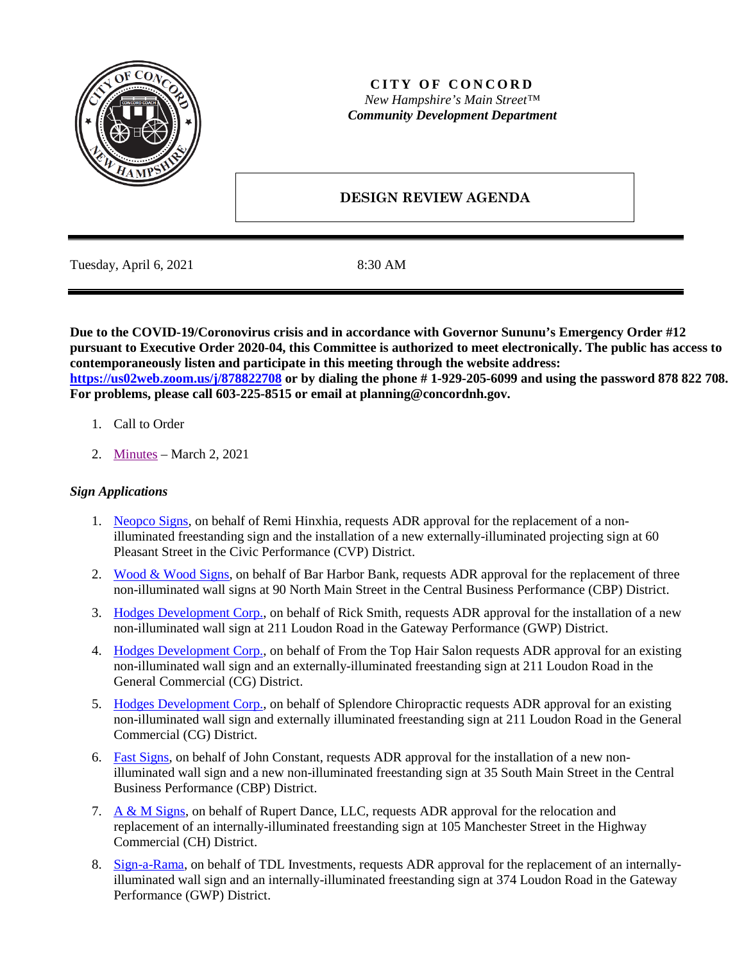

## **CITY OF CONCORD** *New Hampshire's Main Street™ Community Development Department*

# **DESIGN REVIEW AGENDA**

Tuesday, April 6, 2021 8:30 AM

**Due to the COVID-19/Coronovirus crisis and in accordance with Governor Sununu's Emergency Order #12 pursuant to Executive Order 2020-04, this Committee is authorized to meet electronically. The public has access to contemporaneously listen and participate in this meeting through the website address: <https://us02web.zoom.us/j/878822708> or by dialing the phone # 1-929-205-6099 and using the password 878 822 708. For problems, please call 603-225-8515 or email at planning@concordnh.gov.**

- 1. Call to Order
- 2. [Minutes](https://www.concordnh.gov/DocumentCenter/View/16959/03022021) March 2, 2021

## *Sign Applications*

- 1. [Neopco Signs,](https://www.concordnh.gov/DocumentCenter/View/16951/60-Pleasant-St--ADR) on behalf of Remi Hinxhia, requests ADR approval for the replacement of a nonilluminated freestanding sign and the installation of a new externally-illuminated projecting sign at 60 Pleasant Street in the Civic Performance (CVP) District.
- 2. [Wood & Wood Signs,](https://www.concordnh.gov/DocumentCenter/View/16980/Bar-Harbor-Revised) on behalf of Bar Harbor Bank, requests ADR approval for the replacement of three non-illuminated wall signs at 90 North Main Street in the Central Business Performance (CBP) District.
- 3. [Hodges Development Corp.,](https://www.concordnh.gov/DocumentCenter/View/16949/Kirby-NEW-Sign-Proof) on behalf of Rick Smith, requests ADR approval for the installation of a new non-illuminated wall sign at 211 Loudon Road in the Gateway Performance (GWP) District.
- 4. [Hodges Development Corp.,](https://www.concordnh.gov/DocumentCenter/View/16976/211-Loudon-Rd---From-the-Top---2-Sign-Applications-for-ADR) on behalf of From the Top Hair Salon requests ADR approval for an existing non-illuminated wall sign and an externally-illuminated freestanding sign at 211 Loudon Road in the General Commercial (CG) District.
- 5. [Hodges Development Corp.,](https://www.concordnh.gov/DocumentCenter/View/16975/211-Loudon-Rd---Splendore-Chiro---2-Sign-Applications-for-ADR) on behalf of Splendore Chiropractic requests ADR approval for an existing non-illuminated wall sign and externally illuminated freestanding sign at 211 Loudon Road in the General Commercial (CG) District.
- 6. [Fast Signs,](https://www.concordnh.gov/DocumentCenter/View/16950/35-S-Main-St--ADR) on behalf of John Constant, requests ADR approval for the installation of a new nonilluminated wall sign and a new non-illuminated freestanding sign at 35 South Main Street in the Central Business Performance (CBP) District.
- 7. A  $\&$  M Signs, on behalf of Rupert Dance, LLC, requests ADR approval for the relocation and replacement of an internally-illuminated freestanding sign at 105 Manchester Street in the Highway Commercial (CH) District.
- 8. [Sign-a-Rama,](https://www.concordnh.gov/DocumentCenter/View/16954/374-Loudon-Road-ADR) on behalf of TDL Investments, requests ADR approval for the replacement of an internallyilluminated wall sign and an internally-illuminated freestanding sign at 374 Loudon Road in the Gateway Performance (GWP) District.